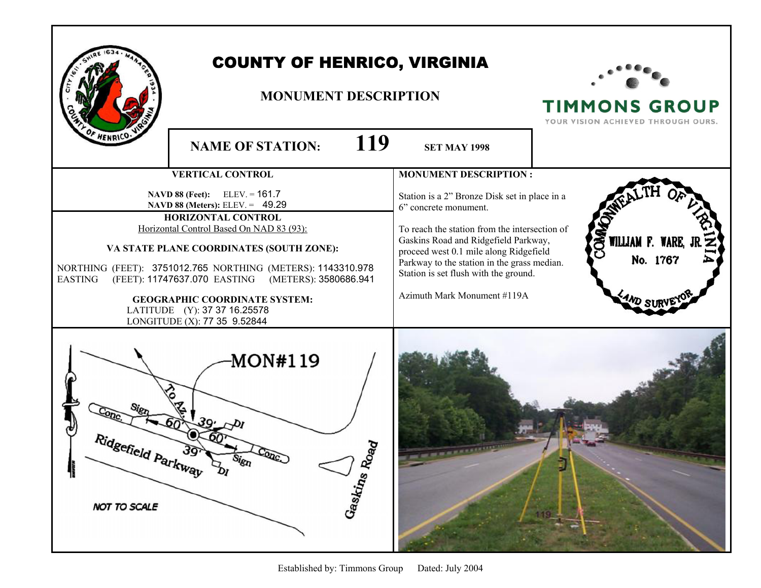|                                           | <b>COUNTY OF HENRICO, VIRGINIA</b><br><b>MONUMENT DESCRIPTION</b>                                                                                                                                                                                                                                                                                                                                                                                  |                                                                                                                                                                                                                                                                                                                                                                  | <b>TIMMONS GROUP</b><br>YOUR VISION ACHIEVED THROUGH OURS. |
|-------------------------------------------|----------------------------------------------------------------------------------------------------------------------------------------------------------------------------------------------------------------------------------------------------------------------------------------------------------------------------------------------------------------------------------------------------------------------------------------------------|------------------------------------------------------------------------------------------------------------------------------------------------------------------------------------------------------------------------------------------------------------------------------------------------------------------------------------------------------------------|------------------------------------------------------------|
| HENRICO-                                  | 119<br><b>NAME OF STATION:</b>                                                                                                                                                                                                                                                                                                                                                                                                                     | <b>SET MAY 1998</b>                                                                                                                                                                                                                                                                                                                                              |                                                            |
| <b>EASTING</b>                            | <b>VERTICAL CONTROL</b><br><b>NAVD 88 (Feet):</b> ELEV. = $161.7$<br>NAVD 88 (Meters): ELEV. = 49.29<br>HORIZONTAL CONTROL<br>Horizontal Control Based On NAD 83 (93):<br>VA STATE PLANE COORDINATES (SOUTH ZONE):<br>NORTHING (FEET): 3751012.765 NORTHING (METERS): 1143310.978<br>(FEET): 11747637.070 EASTING<br>(METERS): 3580686.941<br><b>GEOGRAPHIC COORDINATE SYSTEM:</b><br>LATITUDE (Y): 37 37 16.25578<br>LONGITUDE (X): 77 35 9.52844 | <b>MONUMENT DESCRIPTION:</b><br>Station is a 2" Bronze Disk set in place in a<br>6" concrete monument.<br>To reach the station from the intersection of<br>Gaskins Road and Ridgefield Parkway,<br>proceed west 0.1 mile along Ridgefield<br>Parkway to the station in the grass median.<br>Station is set flush with the ground.<br>Azimuth Mark Monument #119A | <b>SEX WILLIAM F. WARE,</b><br>No. 1767<br><b>WD SUI</b>   |
| Ridgefield Parkway<br><b>NOT TO SCALE</b> | MON#119<br>್ಡಾ<br>Sign<br>Gaskins Rox                                                                                                                                                                                                                                                                                                                                                                                                              |                                                                                                                                                                                                                                                                                                                                                                  |                                                            |